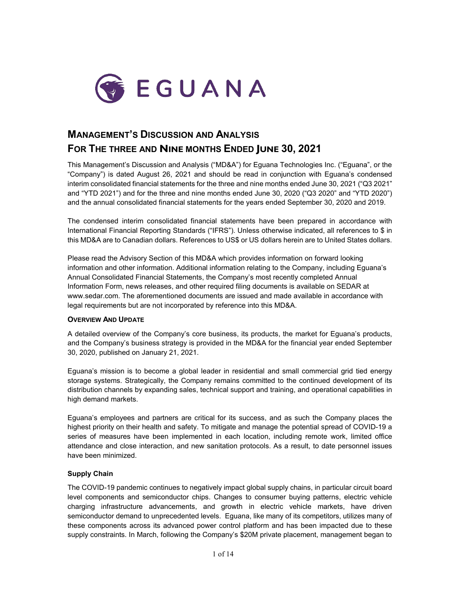

# **MANAGEMENT'S DISCUSSION AND ANALYSIS FOR THE THREE AND NINE MONTHS ENDED JUNE 30, 2021**

This Management's Discussion and Analysis ("MD&A") for Eguana Technologies Inc. ("Eguana", or the "Company") is dated August 26, 2021 and should be read in conjunction with Eguana's condensed interim consolidated financial statements for the three and nine months ended June 30, 2021 ("Q3 2021" and "YTD 2021") and for the three and nine months ended June 30, 2020 ("Q3 2020" and "YTD 2020") and the annual consolidated financial statements for the years ended September 30, 2020 and 2019.

The condensed interim consolidated financial statements have been prepared in accordance with International Financial Reporting Standards ("IFRS"). Unless otherwise indicated, all references to \$ in this MD&A are to Canadian dollars. References to US\$ or US dollars herein are to United States dollars.

Please read the Advisory Section of this MD&A which provides information on forward looking information and other information. Additional information relating to the Company, including Eguana's Annual Consolidated Financial Statements, the Company's most recently completed Annual Information Form, news releases, and other required filing documents is available on SEDAR at [www.sedar.com.](http://www.sedar.com/) The aforementioned documents are issued and made available in accordance with legal requirements but are not incorporated by reference into this MD&A.

#### **OVERVIEW AND UPDATE**

A detailed overview of the Company's core business, its products, the market for Eguana's products, and the Company's business strategy is provided in the MD&A for the financial year ended September 30, 2020, published on January 21, 2021.

Eguana's mission is to become a global leader in residential and small commercial grid tied energy storage systems. Strategically, the Company remains committed to the continued development of its distribution channels by expanding sales, technical support and training, and operational capabilities in high demand markets.

Eguana's employees and partners are critical for its success, and as such the Company places the highest priority on their health and safety. To mitigate and manage the potential spread of COVID-19 a series of measures have been implemented in each location, including remote work, limited office attendance and close interaction, and new sanitation protocols. As a result, to date personnel issues have been minimized.

#### **Supply Chain**

The COVID-19 pandemic continues to negatively impact global supply chains, in particular circuit board level components and semiconductor chips. Changes to consumer buying patterns, electric vehicle charging infrastructure advancements, and growth in electric vehicle markets, have driven semiconductor demand to unprecedented levels. Eguana, like many of its competitors, utilizes many of these components across its advanced power control platform and has been impacted due to these supply constraints. In March, following the Company's \$20M private placement, management began to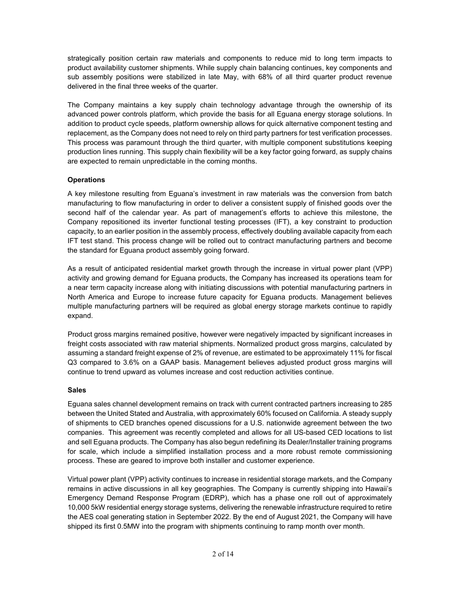strategically position certain raw materials and components to reduce mid to long term impacts to product availability customer shipments. While supply chain balancing continues, key components and sub assembly positions were stabilized in late May, with 68% of all third quarter product revenue delivered in the final three weeks of the quarter.

The Company maintains a key supply chain technology advantage through the ownership of its advanced power controls platform, which provide the basis for all Eguana energy storage solutions. In addition to product cycle speeds, platform ownership allows for quick alternative component testing and replacement, as the Company does not need to rely on third party partners for test verification processes. This process was paramount through the third quarter, with multiple component substitutions keeping production lines running. This supply chain flexibility will be a key factor going forward, as supply chains are expected to remain unpredictable in the coming months.

# **Operations**

A key milestone resulting from Eguana's investment in raw materials was the conversion from batch manufacturing to flow manufacturing in order to deliver a consistent supply of finished goods over the second half of the calendar year. As part of management's efforts to achieve this milestone, the Company repositioned its inverter functional testing processes (IFT), a key constraint to production capacity, to an earlier position in the assembly process, effectively doubling available capacity from each IFT test stand. This process change will be rolled out to contract manufacturing partners and become the standard for Eguana product assembly going forward.

As a result of anticipated residential market growth through the increase in virtual power plant (VPP) activity and growing demand for Eguana products, the Company has increased its operations team for a near term capacity increase along with initiating discussions with potential manufacturing partners in North America and Europe to increase future capacity for Eguana products. Management believes multiple manufacturing partners will be required as global energy storage markets continue to rapidly expand.

Product gross margins remained positive, however were negatively impacted by significant increases in freight costs associated with raw material shipments. Normalized product gross margins, calculated by assuming a standard freight expense of 2% of revenue, are estimated to be approximately 11% for fiscal Q3 compared to 3.6% on a GAAP basis. Management believes adjusted product gross margins will continue to trend upward as volumes increase and cost reduction activities continue.

# **Sales**

Eguana sales channel development remains on track with current contracted partners increasing to 285 between the United Stated and Australia, with approximately 60% focused on California. A steady supply of shipments to CED branches opened discussions for a U.S. nationwide agreement between the two companies. This agreement was recently completed and allows for all US-based CED locations to list and sell Eguana products. The Company has also begun redefining its Dealer/Installer training programs for scale, which include a simplified installation process and a more robust remote commissioning process. These are geared to improve both installer and customer experience.

Virtual power plant (VPP) activity continues to increase in residential storage markets, and the Company remains in active discussions in all key geographies. The Company is currently shipping into Hawaii's Emergency Demand Response Program (EDRP), which has a phase one roll out of approximately 10,000 5kW residential energy storage systems, delivering the renewable infrastructure required to retire the AES coal generating station in September 2022. By the end of August 2021, the Company will have shipped its first 0.5MW into the program with shipments continuing to ramp month over month.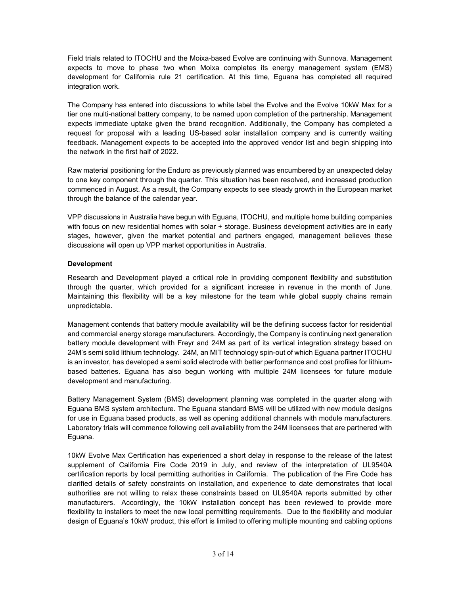Field trials related to ITOCHU and the Moixa-based Evolve are continuing with Sunnova. Management expects to move to phase two when Moixa completes its energy management system (EMS) development for California rule 21 certification. At this time, Eguana has completed all required integration work.

The Company has entered into discussions to white label the Evolve and the Evolve 10kW Max for a tier one multi-national battery company, to be named upon completion of the partnership. Management expects immediate uptake given the brand recognition. Additionally, the Company has completed a request for proposal with a leading US-based solar installation company and is currently waiting feedback. Management expects to be accepted into the approved vendor list and begin shipping into the network in the first half of 2022.

Raw material positioning for the Enduro as previously planned was encumbered by an unexpected delay to one key component through the quarter. This situation has been resolved, and increased production commenced in August. As a result, the Company expects to see steady growth in the European market through the balance of the calendar year.

VPP discussions in Australia have begun with Eguana, ITOCHU, and multiple home building companies with focus on new residential homes with solar + storage. Business development activities are in early stages, however, given the market potential and partners engaged, management believes these discussions will open up VPP market opportunities in Australia.

# **Development**

Research and Development played a critical role in providing component flexibility and substitution through the quarter, which provided for a significant increase in revenue in the month of June. Maintaining this flexibility will be a key milestone for the team while global supply chains remain unpredictable.

Management contends that battery module availability will be the defining success factor for residential and commercial energy storage manufacturers. Accordingly, the Company is continuing next generation battery module development with Freyr and 24M as part of its vertical integration strategy based on 24M's semi solid lithium technology. 24M, an MIT technology spin-out of which Eguana partner ITOCHU is an investor, has developed a semi solid electrode with better performance and cost profiles for lithiumbased batteries. Eguana has also begun working with multiple 24M licensees for future module development and manufacturing.

Battery Management System (BMS) development planning was completed in the quarter along with Eguana BMS system architecture. The Eguana standard BMS will be utilized with new module designs for use in Eguana based products, as well as opening additional channels with module manufacturers. Laboratory trials will commence following cell availability from the 24M licensees that are partnered with Eguana.

10kW Evolve Max Certification has experienced a short delay in response to the release of the latest supplement of California Fire Code 2019 in July, and review of the interpretation of UL9540A certification reports by local permitting authorities in California. The publication of the Fire Code has clarified details of safety constraints on installation, and experience to date demonstrates that local authorities are not willing to relax these constraints based on UL9540A reports submitted by other manufacturers. Accordingly, the 10kW installation concept has been reviewed to provide more flexibility to installers to meet the new local permitting requirements. Due to the flexibility and modular design of Eguana's 10kW product, this effort is limited to offering multiple mounting and cabling options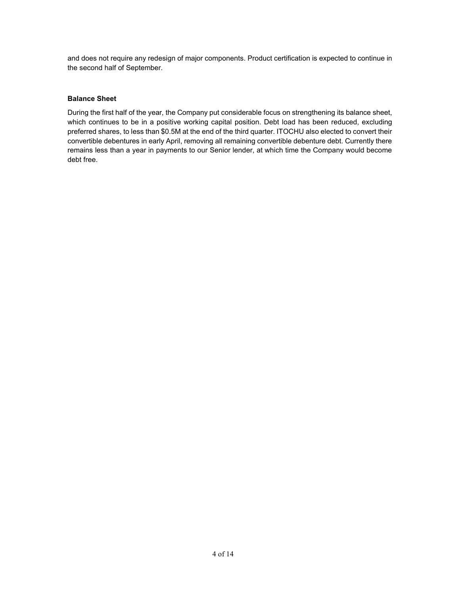and does not require any redesign of major components. Product certification is expected to continue in the second half of September.

#### **Balance Sheet**

During the first half of the year, the Company put considerable focus on strengthening its balance sheet, which continues to be in a positive working capital position. Debt load has been reduced, excluding preferred shares, to less than \$0.5M at the end of the third quarter. ITOCHU also elected to convert their convertible debentures in early April, removing all remaining convertible debenture debt. Currently there remains less than a year in payments to our Senior lender, at which time the Company would become debt free.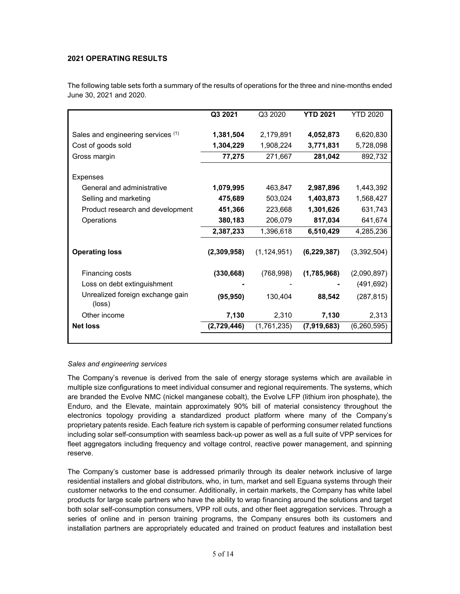# **2021 OPERATING RESULTS**

The following table sets forth a summary of the results of operations for the three and nine-months ended June 30, 2021 and 2020.

|                                            | Q3 2021     | Q3 2020       | <b>YTD 2021</b> | <b>YTD 2020</b> |
|--------------------------------------------|-------------|---------------|-----------------|-----------------|
|                                            |             |               |                 |                 |
| Sales and engineering services (1)         | 1,381,504   | 2,179,891     | 4,052,873       | 6,620,830       |
| Cost of goods sold                         | 1,304,229   | 1,908,224     | 3,771,831       | 5,728,098       |
| Gross margin                               | 77,275      | 271,667       | 281,042         | 892,732         |
| Expenses                                   |             |               |                 |                 |
| General and administrative                 | 1,079,995   | 463,847       | 2,987,896       | 1,443,392       |
| Selling and marketing                      | 475,689     | 503,024       | 1,403,873       | 1,568,427       |
| Product research and development           | 451,366     | 223,668       | 1,301,626       | 631,743         |
| Operations                                 | 380,183     | 206,079       | 817,034         | 641,674         |
|                                            | 2,387,233   | 1,396,618     | 6,510,429       | 4,285,236       |
| <b>Operating loss</b>                      | (2,309,958) | (1, 124, 951) | (6, 229, 387)   | (3,392,504)     |
| Financing costs                            | (330, 668)  | (768, 998)    | (1,785,968)     | (2,090,897)     |
| Loss on debt extinguishment                |             |               |                 | (491, 692)      |
| Unrealized foreign exchange gain<br>(loss) | (95, 950)   | 130,404       | 88,542          | (287, 815)      |
| Other income                               | 7,130       | 2,310         | 7,130           | 2,313           |
| <b>Net loss</b>                            | (2,729,446) | (1,761,235)   | (7,919,683)     | (6,260,595)     |
|                                            |             |               |                 |                 |

#### *Sales and engineering services*

The Company's revenue is derived from the sale of energy storage systems which are available in multiple size configurations to meet individual consumer and regional requirements. The systems, which are branded the Evolve NMC (nickel manganese cobalt), the Evolve LFP (lithium iron phosphate), the Enduro, and the Elevate, maintain approximately 90% bill of material consistency throughout the electronics topology providing a standardized product platform where many of the Company's proprietary patents reside. Each feature rich system is capable of performing consumer related functions including solar self-consumption with seamless back-up power as well as a full suite of VPP services for fleet aggregators including frequency and voltage control, reactive power management, and spinning reserve.

The Company's customer base is addressed primarily through its dealer network inclusive of large residential installers and global distributors, who, in turn, market and sell Eguana systems through their customer networks to the end consumer. Additionally, in certain markets, the Company has white label products for large scale partners who have the ability to wrap financing around the solutions and target both solar self-consumption consumers, VPP roll outs, and other fleet aggregation services. Through a series of online and in person training programs, the Company ensures both its customers and installation partners are appropriately educated and trained on product features and installation best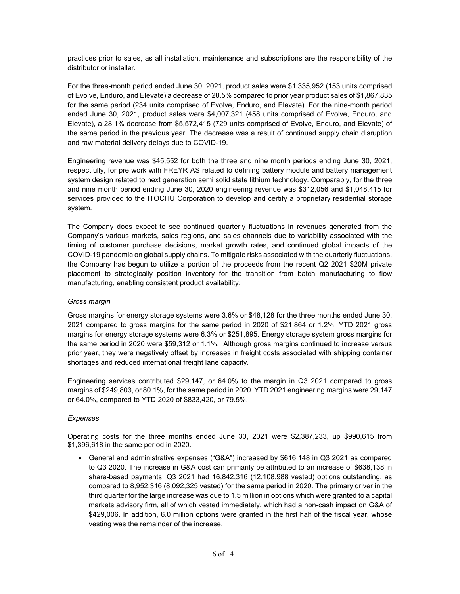practices prior to sales, as all installation, maintenance and subscriptions are the responsibility of the distributor or installer.

For the three-month period ended June 30, 2021, product sales were \$1,335,952 (153 units comprised of Evolve, Enduro, and Elevate) a decrease of 28.5% compared to prior year product sales of \$1,867,835 for the same period (234 units comprised of Evolve, Enduro, and Elevate). For the nine-month period ended June 30, 2021, product sales were \$4,007,321 (458 units comprised of Evolve, Enduro, and Elevate), a 28.1% decrease from \$5,572,415 (729 units comprised of Evolve, Enduro, and Elevate) of the same period in the previous year. The decrease was a result of continued supply chain disruption and raw material delivery delays due to COVID-19.

Engineering revenue was \$45,552 for both the three and nine month periods ending June 30, 2021, respectfully, for pre work with FREYR AS related to defining battery module and battery management system design related to next generation semi solid state lithium technology. Comparably, for the three and nine month period ending June 30, 2020 engineering revenue was \$312,056 and \$1,048,415 for services provided to the ITOCHU Corporation to develop and certify a proprietary residential storage system.

The Company does expect to see continued quarterly fluctuations in revenues generated from the Company's various markets, sales regions, and sales channels due to variability associated with the timing of customer purchase decisions, market growth rates, and continued global impacts of the COVID-19 pandemic on global supply chains. To mitigate risks associated with the quarterly fluctuations, the Company has begun to utilize a portion of the proceeds from the recent Q2 2021 \$20M private placement to strategically position inventory for the transition from batch manufacturing to flow manufacturing, enabling consistent product availability.

#### *Gross margin*

Gross margins for energy storage systems were 3.6% or \$48,128 for the three months ended June 30, 2021 compared to gross margins for the same period in 2020 of \$21,864 or 1.2%. YTD 2021 gross margins for energy storage systems were 6.3% or \$251,895. Energy storage system gross margins for the same period in 2020 were \$59,312 or 1.1%. Although gross margins continued to increase versus prior year, they were negatively offset by increases in freight costs associated with shipping container shortages and reduced international freight lane capacity.

Engineering services contributed \$29,147, or 64.0% to the margin in Q3 2021 compared to gross margins of \$249,803, or 80.1%, for the same period in 2020. YTD 2021 engineering margins were 29,147 or 64.0%, compared to YTD 2020 of \$833,420, or 79.5%.

#### *Expenses*

Operating costs for the three months ended June 30, 2021 were \$2,387,233, up \$990,615 from \$1,396,618 in the same period in 2020.

• General and administrative expenses ("G&A") increased by \$616,148 in Q3 2021 as compared to Q3 2020. The increase in G&A cost can primarily be attributed to an increase of \$638,138 in share-based payments. Q3 2021 had 16,842,316 (12,108,988 vested) options outstanding, as compared to 8,952,316 (8,092,325 vested) for the same period in 2020. The primary driver in the third quarter for the large increase was due to 1.5 million in options which were granted to a capital markets advisory firm, all of which vested immediately, which had a non-cash impact on G&A of \$429,006. In addition, 6.0 million options were granted in the first half of the fiscal year, whose vesting was the remainder of the increase.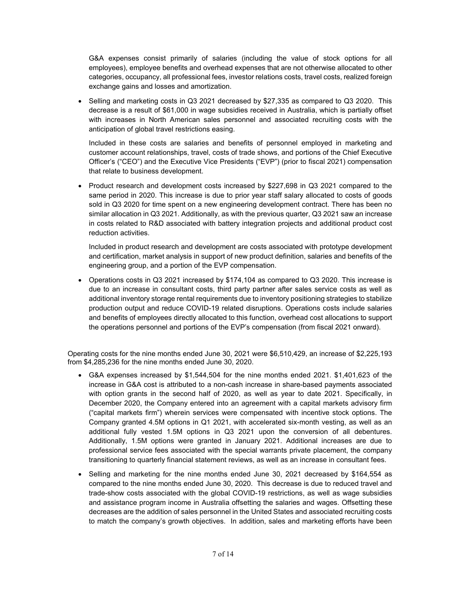G&A expenses consist primarily of salaries (including the value of stock options for all employees), employee benefits and overhead expenses that are not otherwise allocated to other categories, occupancy, all professional fees, investor relations costs, travel costs, realized foreign exchange gains and losses and amortization.

• Selling and marketing costs in Q3 2021 decreased by \$27,335 as compared to Q3 2020. This decrease is a result of \$61,000 in wage subsidies received in Australia, which is partially offset with increases in North American sales personnel and associated recruiting costs with the anticipation of global travel restrictions easing.

Included in these costs are salaries and benefits of personnel employed in marketing and customer account relationships, travel, costs of trade shows, and portions of the Chief Executive Officer's ("CEO") and the Executive Vice Presidents ("EVP") (prior to fiscal 2021) compensation that relate to business development.

• Product research and development costs increased by \$227,698 in Q3 2021 compared to the same period in 2020. This increase is due to prior year staff salary allocated to costs of goods sold in Q3 2020 for time spent on a new engineering development contract. There has been no similar allocation in Q3 2021. Additionally, as with the previous quarter, Q3 2021 saw an increase in costs related to R&D associated with battery integration projects and additional product cost reduction activities.

Included in product research and development are costs associated with prototype development and certification, market analysis in support of new product definition, salaries and benefits of the engineering group, and a portion of the EVP compensation.

• Operations costs in Q3 2021 increased by \$174,104 as compared to Q3 2020. This increase is due to an increase in consultant costs, third party partner after sales service costs as well as additional inventory storage rental requirements due to inventory positioning strategies to stabilize production output and reduce COVID-19 related disruptions. Operations costs include salaries and benefits of employees directly allocated to this function, overhead cost allocations to support the operations personnel and portions of the EVP's compensation (from fiscal 2021 onward).

Operating costs for the nine months ended June 30, 2021 were \$6,510,429, an increase of \$2,225,193 from \$4,285,236 for the nine months ended June 30, 2020.

- G&A expenses increased by \$1,544,504 for the nine months ended 2021. \$1,401,623 of the increase in G&A cost is attributed to a non-cash increase in share-based payments associated with option grants in the second half of 2020, as well as year to date 2021. Specifically, in December 2020, the Company entered into an agreement with a capital markets advisory firm ("capital markets firm") wherein services were compensated with incentive stock options. The Company granted 4.5M options in Q1 2021, with accelerated six-month vesting, as well as an additional fully vested 1.5M options in Q3 2021 upon the conversion of all debentures. Additionally, 1.5M options were granted in January 2021. Additional increases are due to professional service fees associated with the special warrants private placement, the company transitioning to quarterly financial statement reviews, as well as an increase in consultant fees.
- Selling and marketing for the nine months ended June 30, 2021 decreased by \$164,554 as compared to the nine months ended June 30, 2020. This decrease is due to reduced travel and trade-show costs associated with the global COVID-19 restrictions, as well as wage subsidies and assistance program income in Australia offsetting the salaries and wages. Offsetting these decreases are the addition of sales personnel in the United States and associated recruiting costs to match the company's growth objectives. In addition, sales and marketing efforts have been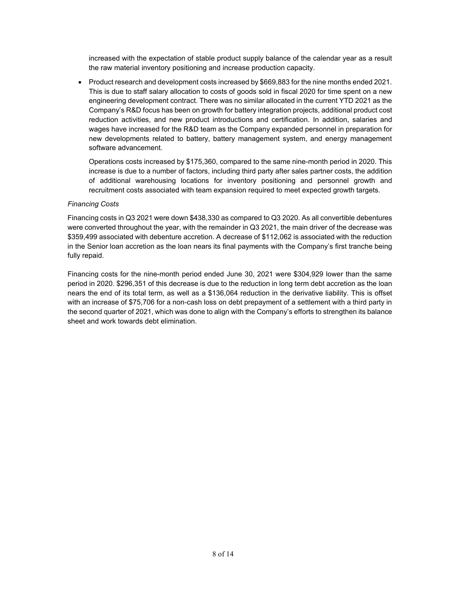increased with the expectation of stable product supply balance of the calendar year as a result the raw material inventory positioning and increase production capacity.

• Product research and development costs increased by \$669,883 for the nine months ended 2021. This is due to staff salary allocation to costs of goods sold in fiscal 2020 for time spent on a new engineering development contract. There was no similar allocated in the current YTD 2021 as the Company's R&D focus has been on growth for battery integration projects, additional product cost reduction activities, and new product introductions and certification. In addition, salaries and wages have increased for the R&D team as the Company expanded personnel in preparation for new developments related to battery, battery management system, and energy management software advancement.

Operations costs increased by \$175,360, compared to the same nine-month period in 2020. This increase is due to a number of factors, including third party after sales partner costs, the addition of additional warehousing locations for inventory positioning and personnel growth and recruitment costs associated with team expansion required to meet expected growth targets.

#### *Financing Costs*

Financing costs in Q3 2021 were down \$438,330 as compared to Q3 2020. As all convertible debentures were converted throughout the year, with the remainder in Q3 2021, the main driver of the decrease was \$359,499 associated with debenture accretion. A decrease of \$112,062 is associated with the reduction in the Senior loan accretion as the loan nears its final payments with the Company's first tranche being fully repaid.

Financing costs for the nine-month period ended June 30, 2021 were \$304,929 lower than the same period in 2020. \$296,351 of this decrease is due to the reduction in long term debt accretion as the loan nears the end of its total term, as well as a \$136,064 reduction in the derivative liability. This is offset with an increase of \$75,706 for a non-cash loss on debt prepayment of a settlement with a third party in the second quarter of 2021, which was done to align with the Company's efforts to strengthen its balance sheet and work towards debt elimination.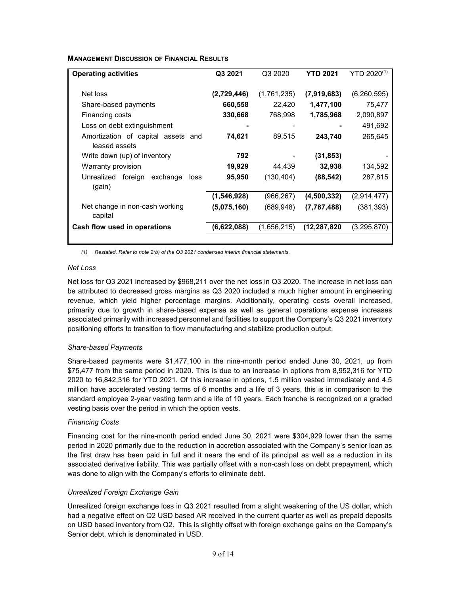**MANAGEMENT DISCUSSION OF FINANCIAL RESULTS** 

| <b>Operating activities</b>                         | Q3 2021     | Q3 2020     | <b>YTD 2021</b> | YTD $2020^{(1)}$ |
|-----------------------------------------------------|-------------|-------------|-----------------|------------------|
| Net loss                                            | (2,729,446) | (1,761,235) | (7,919,683)     | (6,260,595)      |
| Share-based payments                                | 660,558     | 22,420      | 1,477,100       | 75,477           |
| Financing costs                                     | 330,668     | 768,998     | 1,785,968       | 2,090,897        |
| Loss on debt extinguishment                         |             |             |                 | 491,692          |
| Amortization of capital assets and<br>leased assets | 74,621      | 89,515      | 243,740         | 265,645          |
| Write down (up) of inventory                        | 792         |             | (31, 853)       |                  |
| Warranty provision                                  | 19,929      | 44,439      | 32,938          | 134,592          |
| Unrealized<br>foreign<br>exchange<br>loss<br>(gain) | 95,950      | (130, 404)  | (88, 542)       | 287,815          |
|                                                     | (1,546,928) | (966,267)   | (4,500,332)     | (2,914,477)      |
| Net change in non-cash working<br>capital           | (5,075,160) | (689, 948)  | (7,787,488)     | (381, 393)       |
| Cash flow used in operations                        | (6,622,088) | (1,656,215) | (12, 287, 820)  | (3,295,870)      |
|                                                     |             |             |                 |                  |

*(1) Restated. Refer to note 2(b) of the Q3 2021 condensed interim financial statements.* 

#### *Net Loss*

Net loss for Q3 2021 increased by \$968,211 over the net loss in Q3 2020. The increase in net loss can be attributed to decreased gross margins as Q3 2020 included a much higher amount in engineering revenue, which yield higher percentage margins. Additionally, operating costs overall increased, primarily due to growth in share-based expense as well as general operations expense increases associated primarily with increased personnel and facilities to support the Company's Q3 2021 inventory positioning efforts to transition to flow manufacturing and stabilize production output.

#### *Share-based Payments*

Share-based payments were \$1,477,100 in the nine-month period ended June 30, 2021, up from \$75,477 from the same period in 2020. This is due to an increase in options from 8,952,316 for YTD 2020 to 16,842,316 for YTD 2021. Of this increase in options, 1.5 million vested immediately and 4.5 million have accelerated vesting terms of 6 months and a life of 3 years, this is in comparison to the standard employee 2-year vesting term and a life of 10 years. Each tranche is recognized on a graded vesting basis over the period in which the option vests.

#### *Financing Costs*

Financing cost for the nine-month period ended June 30, 2021 were \$304,929 lower than the same period in 2020 primarily due to the reduction in accretion associated with the Company's senior loan as the first draw has been paid in full and it nears the end of its principal as well as a reduction in its associated derivative liability. This was partially offset with a non-cash loss on debt prepayment, which was done to align with the Company's efforts to eliminate debt.

#### *Unrealized Foreign Exchange Gain*

Unrealized foreign exchange loss in Q3 2021 resulted from a slight weakening of the US dollar, which had a negative effect on Q2 USD based AR received in the current quarter as well as prepaid deposits on USD based inventory from Q2. This is slightly offset with foreign exchange gains on the Company's Senior debt, which is denominated in USD.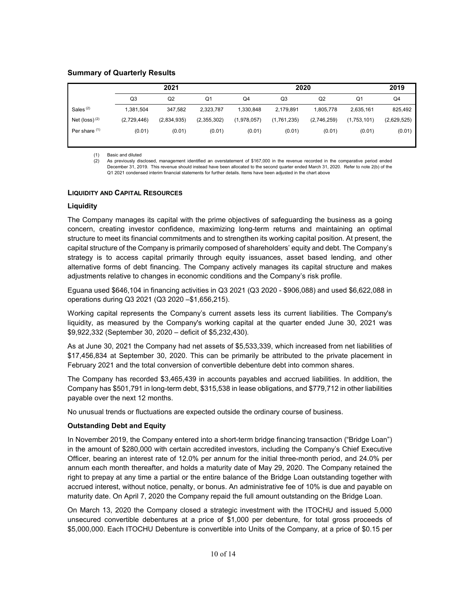## **Summary of Quarterly Results**

|                  | 2021        |                |             | 2020           |             |             |             | 2019        |
|------------------|-------------|----------------|-------------|----------------|-------------|-------------|-------------|-------------|
|                  | Q3          | Q <sub>2</sub> | Q1          | Q <sub>4</sub> | Q3          | Q2          | Q1          | Q4          |
| Sales $(2)$      | 1,381,504   | 347,582        | 2,323,787   | 1.330.848      | 2.179.891   | 1.805.778   | 2.635.161   | 825,492     |
| Net (loss) $(2)$ | (2,729,446) | (2,834,935)    | (2,355,302) | (1,978,057)    | (1,761,235) | (2,746,259) | (1,753,101) | (2,629,525) |
| Per share (1)    | (0.01)      | (0.01)         | (0.01)      | (0.01)         | (0.01)      | (0.01)      | (0.01)      | (0.01)      |

(1) Basic and diluted

(2) As previously disclosed, management identified an overstatement of \$167,000 in the revenue recorded in the comparative period ended December 31, 2019. This revenue should instead have been allocated to the second quarter ended March 31, 2020. Refer to note 2(b) of the Q1 2021 condensed interim financial statements for further details. Items have been adjusted in the chart above

#### **LIQUIDITY AND CAPITAL RESOURCES**

#### **Liquidity**

The Company manages its capital with the prime objectives of safeguarding the business as a going concern, creating investor confidence, maximizing long-term returns and maintaining an optimal structure to meet its financial commitments and to strengthen its working capital position. At present, the capital structure of the Company is primarily composed of shareholders' equity and debt. The Company's strategy is to access capital primarily through equity issuances, asset based lending, and other alternative forms of debt financing. The Company actively manages its capital structure and makes adjustments relative to changes in economic conditions and the Company's risk profile.

Eguana used \$646,104 in financing activities in Q3 2021 (Q3 2020 - \$906,088) and used \$6,622,088 in operations during Q3 2021 (Q3 2020 –\$1,656,215).

Working capital represents the Company's current assets less its current liabilities. The Company's liquidity, as measured by the Company's working capital at the quarter ended June 30, 2021 was \$9,922,332 (September 30, 2020 – deficit of \$5,232,430).

As at June 30, 2021 the Company had net assets of \$5,533,339, which increased from net liabilities of \$17,456,834 at September 30, 2020. This can be primarily be attributed to the private placement in February 2021 and the total conversion of convertible debenture debt into common shares.

The Company has recorded \$3,465,439 in accounts payables and accrued liabilities. In addition, the Company has \$501,791 in long-term debt, \$315,538 in lease obligations, and \$779,712 in other liabilities payable over the next 12 months.

No unusual trends or fluctuations are expected outside the ordinary course of business.

#### **Outstanding Debt and Equity**

In November 2019, the Company entered into a short-term bridge financing transaction ("Bridge Loan") in the amount of \$280,000 with certain accredited investors, including the Company's Chief Executive Officer, bearing an interest rate of 12.0% per annum for the initial three-month period, and 24.0% per annum each month thereafter, and holds a maturity date of May 29, 2020. The Company retained the right to prepay at any time a partial or the entire balance of the Bridge Loan outstanding together with accrued interest, without notice, penalty, or bonus. An administrative fee of 10% is due and payable on maturity date. On April 7, 2020 the Company repaid the full amount outstanding on the Bridge Loan.

On March 13, 2020 the Company closed a strategic investment with the ITOCHU and issued 5,000 unsecured convertible debentures at a price of \$1,000 per debenture, for total gross proceeds of \$5,000,000. Each ITOCHU Debenture is convertible into Units of the Company, at a price of \$0.15 per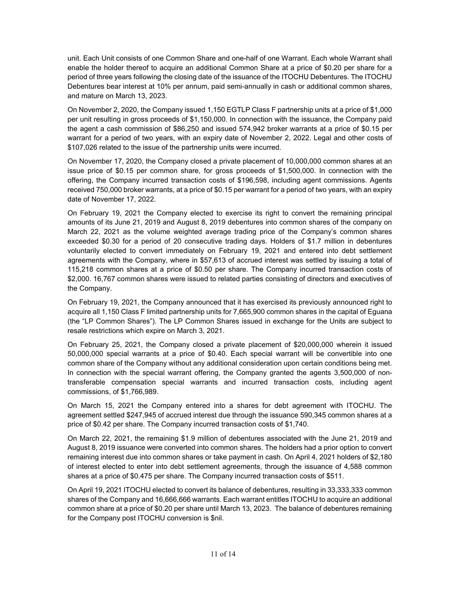unit. Each Unit consists of one Common Share and one-half of one Warrant. Each whole Warrant shall enable the holder thereof to acquire an additional Common Share at a price of \$0.20 per share for a period of three years following the closing date of the issuance of the ITOCHU Debentures. The ITOCHU Debentures bear interest at 10% per annum, paid semi-annually in cash or additional common shares, and mature on March 13, 2023.

On November 2, 2020, the Company issued 1,150 EGTLP Class F partnership units at a price of \$1,000 per unit resulting in gross proceeds of \$1,150,000. In connection with the issuance, the Company paid the agent a cash commission of \$86,250 and issued 574,942 broker warrants at a price of \$0.15 per warrant for a period of two years, with an expiry date of November 2, 2022. Legal and other costs of \$107,026 related to the issue of the partnership units were incurred.

On November 17, 2020, the Company closed a private placement of 10,000,000 common shares at an issue price of \$0.15 per common share, for gross proceeds of \$1,500,000. In connection with the offering, the Company incurred transaction costs of \$196,598, including agent commissions. Agents received 750,000 broker warrants, at a price of \$0.15 per warrant for a period of two years, with an expiry date of November 17, 2022.

On February 19, 2021 the Company elected to exercise its right to convert the remaining principal amounts of its June 21, 2019 and August 8, 2019 debentures into common shares of the company on March 22, 2021 as the volume weighted average trading price of the Company's common shares exceeded \$0.30 for a period of 20 consecutive trading days. Holders of \$1.7 million in debentures voluntarily elected to convert immediately on February 19, 2021 and entered into debt settlement agreements with the Company, where in \$57,613 of accrued interest was settled by issuing a total of 115,218 common shares at a price of \$0.50 per share. The Company incurred transaction costs of \$2,000. 16,767 common shares were issued to related parties consisting of directors and executives of the Company.

On February 19, 2021, the Company announced that it has exercised its previously announced right to acquire all 1,150 Class F limited partnership units for 7,665,900 common shares in the capital of Eguana (the "LP Common Shares"). The LP Common Shares issued in exchange for the Units are subject to resale restrictions which expire on March 3, 2021.

On February 25, 2021, the Company closed a private placement of \$20,000,000 wherein it issued 50,000,000 special warrants at a price of \$0.40. Each special warrant will be convertible into one common share of the Company without any additional consideration upon certain conditions being met. In connection with the special warrant offering, the Company granted the agents 3,500,000 of nontransferable compensation special warrants and incurred transaction costs, including agent commissions, of \$1,766,989.

On March 15, 2021 the Company entered into a shares for debt agreement with ITOCHU. The agreement settled \$247,945 of accrued interest due through the issuance 590,345 common shares at a price of \$0.42 per share. The Company incurred transaction costs of \$1,740.

On March 22, 2021, the remaining \$1.9 million of debentures associated with the June 21, 2019 and August 8, 2019 issuance were converted into common shares. The holders had a prior option to convert remaining interest due into common shares or take payment in cash. On April 4, 2021 holders of \$2,180 of interest elected to enter into debt settlement agreements, through the issuance of 4,588 common shares at a price of \$0.475 per share. The Company incurred transaction costs of \$511.

On April 19, 2021 ITOCHU elected to convert its balance of debentures, resulting in 33,333,333 common shares of the Company and 16,666,666 warrants. Each warrant entitles ITOCHU to acquire an additional common share at a price of \$0.20 per share until March 13, 2023. The balance of debentures remaining for the Company post ITOCHU conversion is \$nil.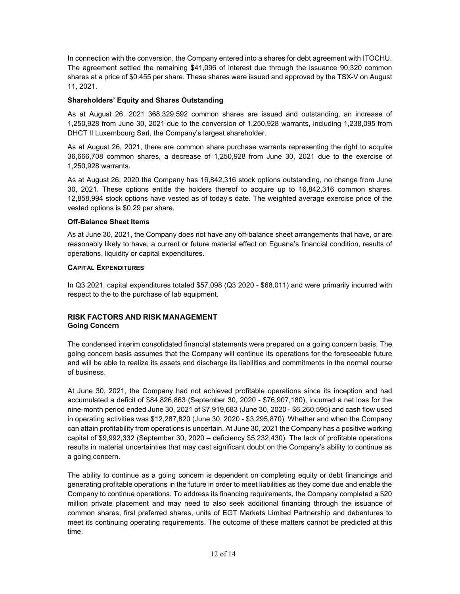In connection with the conversion, the Company entered into a shares for debt agreement with ITOCHU. The agreement settled the remaining \$41,096 of interest due through the issuance 90,320 common shares at a price of \$0.455 per share. These shares were issued and approved by the TSX-V on August 11, 2021.

## **Shareholders' Equity and Shares Outstanding**

As at August 26, 2021 368,329,592 common shares are issued and outstanding, an increase of 1,250,928 from June 30, 2021 due to the conversion of 1,250,928 warrants, including 1,238,095 from DHCT II Luxembourg Sarl, the Company's largest shareholder.

As at August 26, 2021, there are common share purchase warrants representing the right to acquire 36,666,708 common shares, a decrease of 1,250,928 from June 30, 2021 due to the exercise of 1,250,928 warrants.

As at August 26, 2020 the Company has 16,842,316 stock options outstanding, no change from June 30, 2021. These options entitle the holders thereof to acquire up to 16,842,316 common shares. 12,858,994 stock options have vested as of today's date. The weighted average exercise price of the vested options is \$0.29 per share.

#### **Off-Balance Sheet Items**

As at June 30, 2021, the Company does not have any off-balance sheet arrangements that have, or are reasonably likely to have, a current or future material effect on Eguana's financial condition, results of operations, liquidity or capital expenditures.

#### **CAPITAL EXPENDITURES**

In Q3 2021, capital expenditures totaled \$57,098 (Q3 2020 - \$68,011) and were primarily incurred with respect to the to the purchase of lab equipment.

# **RISK FACTORS AND RISK MANAGEMENT Going Concern**

The condensed interim consolidated financial statements were prepared on a going concern basis. The going concern basis assumes that the Company will continue its operations for the foreseeable future and will be able to realize its assets and discharge its liabilities and commitments in the normal course of business.

At June 30, 2021, the Company had not achieved profitable operations since its inception and had accumulated a deficit of \$84,826,863 (September 30, 2020 - \$76,907,180), incurred a net loss for the nine-month period ended June 30, 2021 of \$7,919,683 (June 30, 2020 - \$6,260,595) and cash flow used in operating activities was \$12,287,820 (June 30, 2020 - \$3,295,870). Whether and when the Company can attain profitability from operations is uncertain. At June 30, 2021 the Company has a positive working capital of \$9,992,332 (September 30, 2020 – deficiency \$5,232,430). The lack of profitable operations results in material uncertainties that may cast significant doubt on the Company's ability to continue as a going concern.

The ability to continue as a going concern is dependent on completing equity or debt financings and generating profitable operations in the future in order to meet liabilities as they come due and enable the Company to continue operations. To address its financing requirements, the Company completed a \$20 million private placement and may need to also seek additional financing through the issuance of common shares, first preferred shares, units of EGT Markets Limited Partnership and debentures to meet its continuing operating requirements. The outcome of these matters cannot be predicted at this time.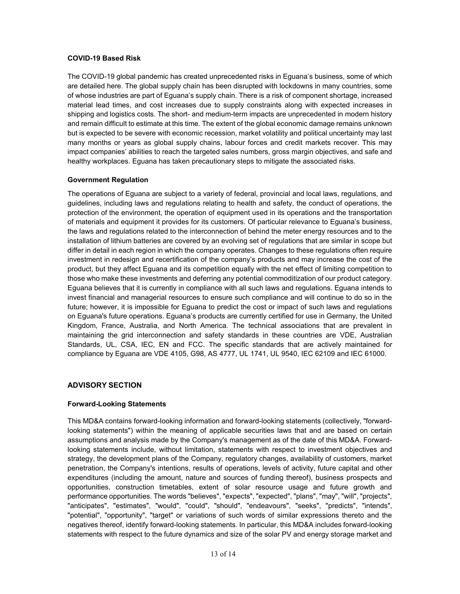#### **COVID-19 Based Risk**

The COVID-19 global pandemic has created unprecedented risks in Eguana's business, some of which are detailed here. The global supply chain has been disrupted with lockdowns in many countries, some of whose industries are part of Eguana's supply chain. There is a risk of component shortage, increased material lead times, and cost increases due to supply constraints along with expected increases in shipping and logistics costs. The short- and medium-term impacts are unprecedented in modern history and remain difficult to estimate at this time. The extent of the global economic damage remains unknown but is expected to be severe with economic recession, market volatility and political uncertainty may last many months or years as global supply chains, labour forces and credit markets recover. This may impact companies' abilities to reach the targeted sales numbers, gross margin objectives, and safe and healthy workplaces. Eguana has taken precautionary steps to mitigate the associated risks.

#### **Government Regulation**

The operations of Eguana are subject to a variety of federal, provincial and local laws, regulations, and guidelines, including laws and regulations relating to health and safety, the conduct of operations, the protection of the environment, the operation of equipment used in its operations and the transportation of materials and equipment it provides for its customers. Of particular relevance to Eguana's business, the laws and regulations related to the interconnection of behind the meter energy resources and to the installation of lithium batteries are covered by an evolving set of regulations that are similar in scope but differ in detail in each region in which the company operates. Changes to these regulations often require investment in redesign and recertification of the company's products and may increase the cost of the product, but they affect Eguana and its competition equally with the net effect of limiting competition to those who make these investments and deferring any potential commoditization of our product category. Eguana believes that it is currently in compliance with all such laws and regulations. Eguana intends to invest financial and managerial resources to ensure such compliance and will continue to do so in the future; however, it is impossible for Eguana to predict the cost or impact of such laws and regulations on Eguana's future operations. Eguana's products are currently certified for use in Germany, the United Kingdom, France, Australia, and North America. The technical associations that are prevalent in maintaining the grid interconnection and safety standards in these countries are VDE, Australian Standards, UL, CSA, IEC, EN and FCC. The specific standards that are actively maintained for compliance by Eguana are VDE 4105, G98, AS 4777, UL 1741, UL 9540, IEC 62109 and IEC 61000.

# **ADVISORY SECTION**

#### **Forward-Looking Statements**

This MD&A contains forward-looking information and forward-looking statements (collectively, "forwardlooking statements") within the meaning of applicable securities laws that and are based on certain assumptions and analysis made by the Company's management as of the date of this MD&A. Forwardlooking statements include, without limitation, statements with respect to investment objectives and strategy, the development plans of the Company, regulatory changes, availability of customers, market penetration, the Company's intentions, results of operations, levels of activity, future capital and other expenditures (including the amount, nature and sources of funding thereof), business prospects and opportunities, construction timetables, extent of solar resource usage and future growth and performance opportunities. The words "believes", "expects", "expected", "plans", "may", "will", "projects", "anticipates", "estimates", "would", "could", "should", "endeavours", "seeks", "predicts", "intends", "potential", "opportunity", "target" or variations of such words of similar expressions thereto and the negatives thereof, identify forward-looking statements. In particular, this MD&A includes forward-looking statements with respect to the future dynamics and size of the solar PV and energy storage market and